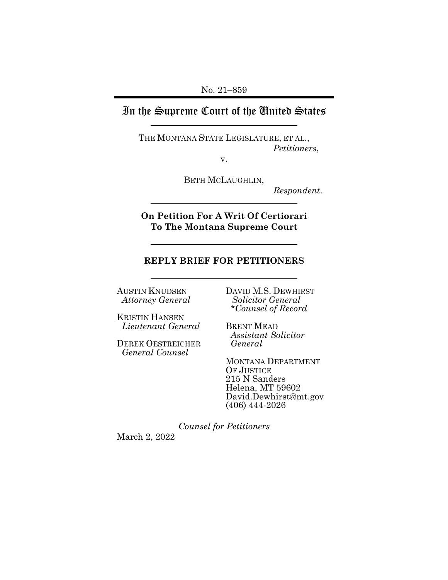# In the Supreme Court of the United States

THE MONTANA STATE LEGISLATURE, ET AL., *Petitioners*,

v.

BETH MCLAUGHLIN,

*Respondent*.

**On Petition For A Writ Of Certiorari To The Montana Supreme Court** 

## **REPLY BRIEF FOR PETITIONERS**

AUSTIN KNUDSEN *Attorney General*

KRISTIN HANSEN *Lieutenant General*

DEREK OESTREICHER *General Counsel*

DAVID M.S. DEWHIRST *Solicitor General \*Counsel of Record*

BRENT MEAD *Assistant Solicitor General*

MONTANA DEPARTMENT OF JUSTICE 215 N Sanders Helena, MT 59602 David.Dewhirst@mt.gov (406) 444-2026

*Counsel for Petitioners* March 2, 2022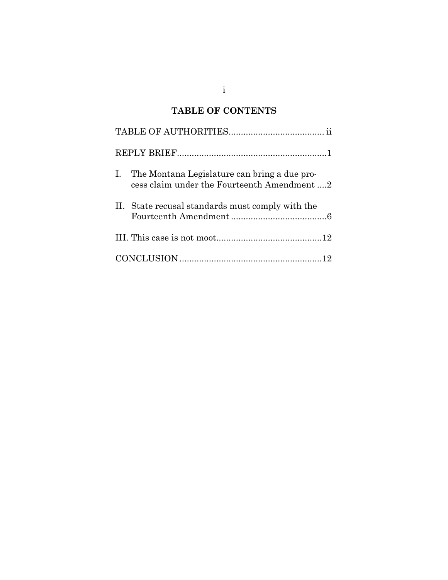# **TABLE OF CONTENTS**

|  | I. The Montana Legislature can bring a due pro-<br>cess claim under the Fourteenth Amendment 2 |  |
|--|------------------------------------------------------------------------------------------------|--|
|  | II. State recusal standards must comply with the                                               |  |
|  |                                                                                                |  |
|  |                                                                                                |  |

i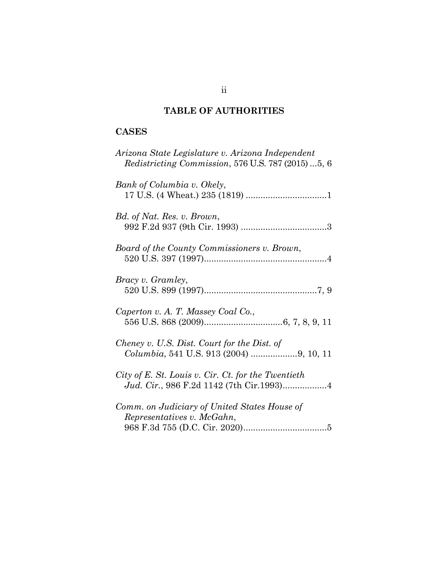# **TABLE OF AUTHORITIES**

# **CASES**

| Arizona State Legislature v. Arizona Independent<br><i>Redistricting Commission, 576 U.S. 787 (2015) 5, 6</i> |
|---------------------------------------------------------------------------------------------------------------|
| Bank of Columbia v. Okely,                                                                                    |
| Bd. of Nat. Res. v. Brown,                                                                                    |
| Board of the County Commissioners v. Brown,                                                                   |
| Bracy v. Gramley,                                                                                             |
| Caperton v. A. T. Massey Coal Co.,                                                                            |
| Cheney v. U.S. Dist. Court for the Dist. of<br>Columbia, 541 U.S. 913 (2004) 9, 10, 11                        |
| City of E. St. Louis v. Cir. Ct. for the Twentieth                                                            |
| Comm. on Judiciary of United States House of<br>Representatives v. McGahn,                                    |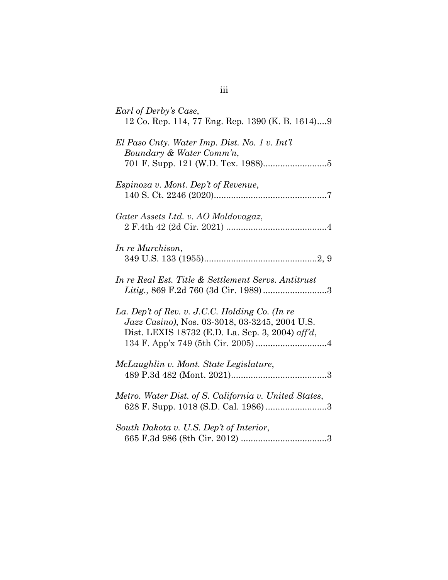| Earl of Derby's Case,<br>12 Co. Rep. 114, 77 Eng. Rep. 1390 (K. B. 1614)9                                                                            |
|------------------------------------------------------------------------------------------------------------------------------------------------------|
| El Paso Cnty. Water Imp. Dist. No. 1 v. Int'l<br>Boundary & Water Comm'n,                                                                            |
| <i>Espinoza v. Mont. Dep't of Revenue,</i>                                                                                                           |
| Gater Assets Ltd. v. AO Moldovagaz,                                                                                                                  |
| In re Murchison,                                                                                                                                     |
| In re Real Est. Title & Settlement Servs. Antitrust                                                                                                  |
| La. Dep't of Rev. v. J.C.C. Holding Co. (In re<br>Jazz Casino), Nos. 03-3018, 03-3245, 2004 U.S.<br>Dist. LEXIS 18732 (E.D. La. Sep. 3, 2004) aff'd, |
| McLaughlin v. Mont. State Legislature,                                                                                                               |
| Metro. Water Dist. of S. California v. United States,<br>628 F. Supp. 1018 (S.D. Cal. 1986) 3                                                        |
| South Dakota v. U.S. Dep't of Interior,                                                                                                              |

# iii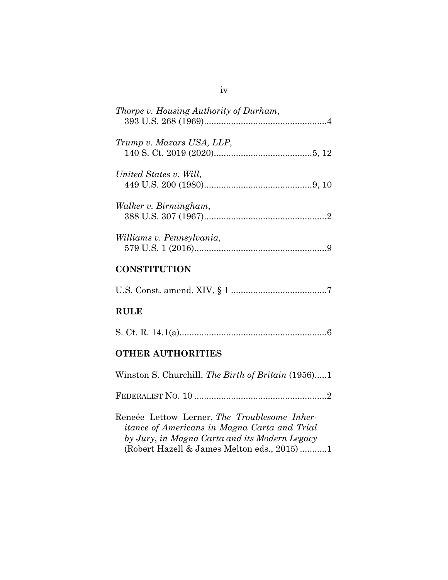| Thorpe v. Housing Authority of Durham, |
|----------------------------------------|
| Trump v. Mazars USA, LLP,              |
| United States v. Will,                 |
| Walker v. Birmingham,                  |
| Williams v. Pennsylvania,              |

## **CONSTITUTION**

U.S. Const. amend. XIV, § 1 .......................................7

## **RULE**

|--|--|--|--|

## **OTHER AUTHORITIES**

Winston S. Churchill, *The Birth of Britain* (1956).....1 FEDERALIST NO. 10 ......................................................2 Reneée Lettow Lerner, *The Troublesome Inheritance of Americans in Magna Carta and Trial by Jury*, *in Magna Carta and its Modern Legacy* (Robert Hazell & James Melton eds., 2015) ...........1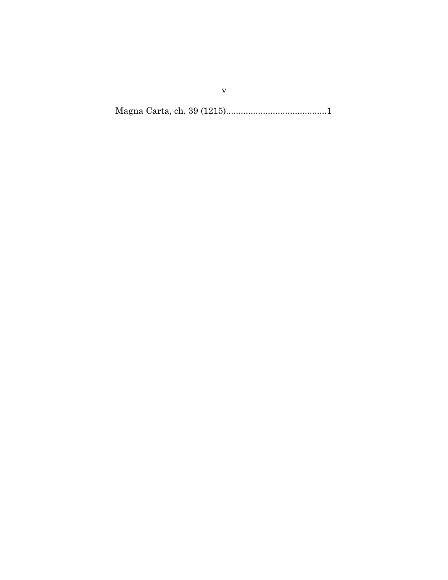Magna Carta, ch. 39 (1215).........................................1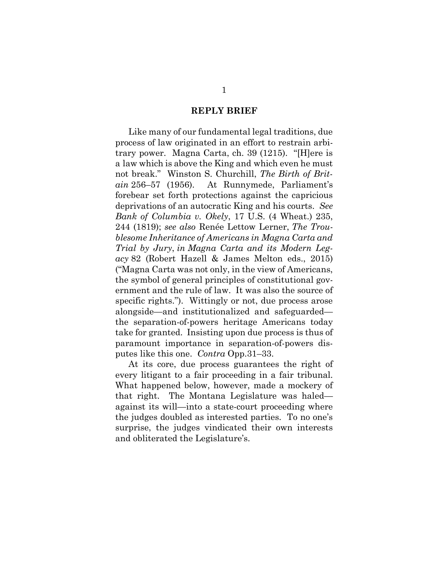### **REPLY BRIEF**

Like many of our fundamental legal traditions, due process of law originated in an effort to restrain arbitrary power. Magna Carta, ch. 39 (1215). "[H]ere is a law which is above the King and which even he must not break." Winston S. Churchill, *The Birth of Britain* 256–57 (1956). At Runnymede, Parliament's forebear set forth protections against the capricious deprivations of an autocratic King and his courts. *See Bank of Columbia v. Okely*, 17 U.S. (4 Wheat.) 235, 244 (1819); *see also* Renée Lettow Lerner, *The Troublesome Inheritance of Americans in Magna Carta and Trial by Jury*, *in Magna Carta and its Modern Legacy* 82 (Robert Hazell & James Melton eds., 2015) ("Magna Carta was not only, in the view of Americans, the symbol of general principles of constitutional government and the rule of law. It was also the source of specific rights."). Wittingly or not, due process arose alongside—and institutionalized and safeguarded the separation-of-powers heritage Americans today take for granted. Insisting upon due process is thus of paramount importance in separation-of-powers disputes like this one. *Contra* Opp.31–33.

At its core, due process guarantees the right of every litigant to a fair proceeding in a fair tribunal. What happened below, however, made a mockery of that right. The Montana Legislature was haled against its will—into a state-court proceeding where the judges doubled as interested parties. To no one's surprise, the judges vindicated their own interests and obliterated the Legislature's.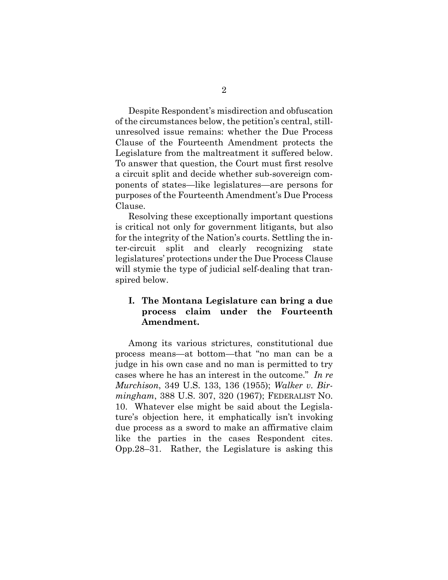Despite Respondent's misdirection and obfuscation of the circumstances below, the petition's central, stillunresolved issue remains: whether the Due Process Clause of the Fourteenth Amendment protects the Legislature from the maltreatment it suffered below. To answer that question, the Court must first resolve a circuit split and decide whether sub-sovereign components of states—like legislatures—are persons for purposes of the Fourteenth Amendment's Due Process Clause.

Resolving these exceptionally important questions is critical not only for government litigants, but also for the integrity of the Nation's courts. Settling the inter-circuit split and clearly recognizing state legislatures' protections under the Due Process Clause will stymie the type of judicial self-dealing that transpired below.

## **I. The Montana Legislature can bring a due process claim under the Fourteenth Amendment.**

Among its various strictures, constitutional due process means—at bottom—that "no man can be a judge in his own case and no man is permitted to try cases where he has an interest in the outcome." *In re Murchison*, 349 U.S. 133, 136 (1955); *Walker v. Birmingham*, 388 U.S. 307, 320 (1967); FEDERALIST NO. 10. Whatever else might be said about the Legislature's objection here, it emphatically isn't invoking due process as a sword to make an affirmative claim like the parties in the cases Respondent cites. Opp.28–31. Rather, the Legislature is asking this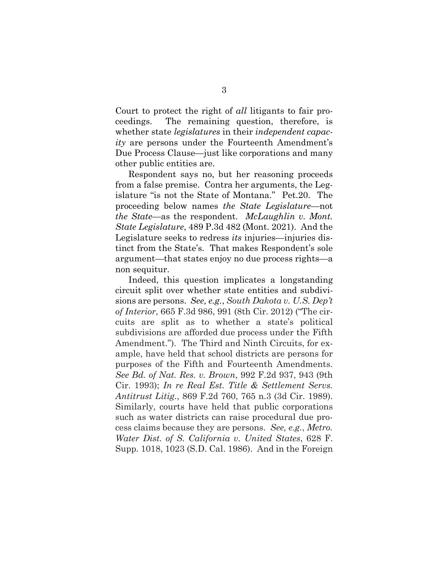Court to protect the right of *all* litigants to fair proceedings. The remaining question, therefore, is whether state *legislatures* in their *independent capacity* are persons under the Fourteenth Amendment's Due Process Clause—just like corporations and many other public entities are.

Respondent says no, but her reasoning proceeds from a false premise. Contra her arguments, the Legislature "is not the State of Montana." Pet.20. The proceeding below names *the State Legislature*—not *the State*—as the respondent. *McLaughlin v. Mont. State Legislature*, 489 P.3d 482 (Mont. 2021). And the Legislature seeks to redress *its* injuries—injuries distinct from the State's. That makes Respondent's sole argument—that states enjoy no due process rights—a non sequitur.

Indeed, this question implicates a longstanding circuit split over whether state entities and subdivisions are persons. *See, e.g.*, *South Dakota v. U.S. Dep't of Interior*, 665 F.3d 986, 991 (8th Cir. 2012) ("The circuits are split as to whether a state's political subdivisions are afforded due process under the Fifth Amendment."). The Third and Ninth Circuits, for example, have held that school districts are persons for purposes of the Fifth and Fourteenth Amendments. *See Bd. of Nat. Res. v. Brown*, 992 F.2d 937, 943 (9th Cir. 1993); *In re Real Est. Title & Settlement Servs. Antitrust Litig.*, 869 F.2d 760, 765 n.3 (3d Cir. 1989). Similarly, courts have held that public corporations such as water districts can raise procedural due process claims because they are persons. *See, e.g.*, *Metro. Water Dist. of S. California v. United States*, 628 F. Supp. 1018, 1023 (S.D. Cal. 1986). And in the Foreign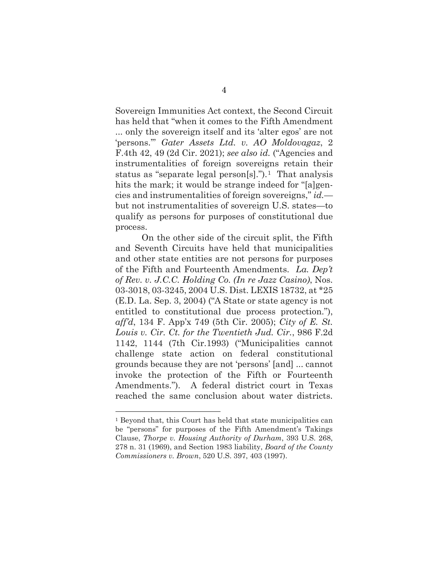Sovereign Immunities Act context, the Second Circuit has held that "when it comes to the Fifth Amendment ... only the sovereign itself and its 'alter egos' are not 'persons.'" *Gater Assets Ltd. v. AO Moldovagaz*, 2 F.4th 42, 49 (2d Cir. 2021); *see also id.* ("Agencies and instrumentalities of foreign sovereigns retain their status as "separate legal person[s].").<sup>[1](#page-9-0)</sup> That analysis hits the mark; it would be strange indeed for "[a]gencies and instrumentalities of foreign sovereigns," *id.* but not instrumentalities of sovereign U.S. states—to qualify as persons for purposes of constitutional due process.

On the other side of the circuit split, the Fifth and Seventh Circuits have held that municipalities and other state entities are not persons for purposes of the Fifth and Fourteenth Amendments. *La. Dep't of Rev. v. J.C.C. Holding Co. (In re Jazz Casino)*, Nos. 03-3018, 03-3245, 2004 U.S. Dist. LEXIS 18732, at \*25 (E.D. La. Sep. 3, 2004) ("A State or state agency is not entitled to constitutional due process protection."), *aff'd*, 134 F. App'x 749 (5th Cir. 2005); *City of E. St. Louis v. Cir. Ct. for the Twentieth Jud. Cir.*, 986 F.2d 1142, 1144 (7th Cir.1993) ("Municipalities cannot challenge state action on federal constitutional grounds because they are not 'persons' [and] ... cannot invoke the protection of the Fifth or Fourteenth Amendments."). A federal district court in Texas reached the same conclusion about water districts.

<span id="page-9-0"></span><sup>1</sup> Beyond that, this Court has held that state municipalities can be "persons" for purposes of the Fifth Amendment's Takings Clause, *Thorpe v. Housing Authority of Durham*, 393 U.S. 268, 278 n. 31 (1969), and Section 1983 liability, *Board of the County Commissioners v. Brown*, 520 U.S. 397, 403 (1997).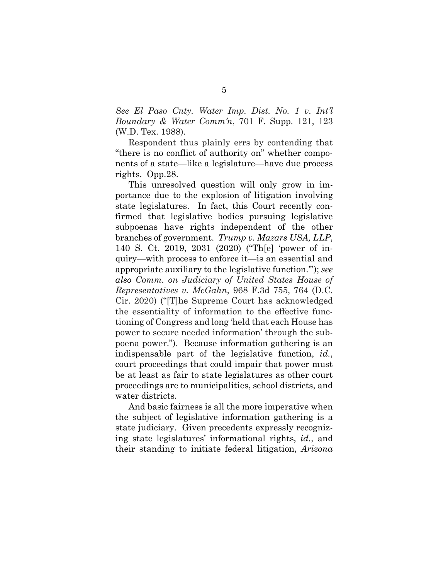*See El Paso Cnty. Water Imp. Dist. No. 1 v. Int'l Boundary & Water Comm'n*, 701 F. Supp. 121, 123 (W.D. Tex. 1988).

Respondent thus plainly errs by contending that "there is no conflict of authority on" whether components of a state—like a legislature—have due process rights. Opp.28.

This unresolved question will only grow in importance due to the explosion of litigation involving state legislatures. In fact, this Court recently confirmed that legislative bodies pursuing legislative subpoenas have rights independent of the other branches of government. *Trump v. Mazars USA, LLP*, 140 S. Ct. 2019, 2031 (2020) ("Th[e] 'power of inquiry—with process to enforce it—is an essential and appropriate auxiliary to the legislative function.'"); *see also Comm. on Judiciary of United States House of Representatives v. McGahn*, 968 F.3d 755, 764 (D.C. Cir. 2020) ("[T]he Supreme Court has acknowledged the essentiality of information to the effective functioning of Congress and long 'held that each House has power to secure needed information' through the subpoena power.").Because information gathering is an indispensable part of the legislative function, *id.*, court proceedings that could impair that power must be at least as fair to state legislatures as other court proceedings are to municipalities, school districts, and water districts.

And basic fairness is all the more imperative when the subject of legislative information gathering is a state judiciary. Given precedents expressly recognizing state legislatures' informational rights, *id.*, and their standing to initiate federal litigation, *Arizona*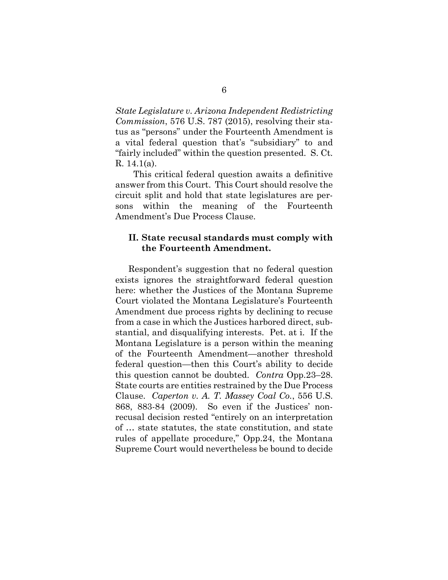*State Legislature v. Arizona Independent Redistricting Commission*, 576 U.S. 787 (2015), resolving their status as "persons" under the Fourteenth Amendment is a vital federal question that's "subsidiary" to and "fairly included" within the question presented. S. Ct. R. 14.1(a).

 This critical federal question awaits a definitive answer from this Court. This Court should resolve the circuit split and hold that state legislatures are persons within the meaning of the Fourteenth Amendment's Due Process Clause.

## **II. State recusal standards must comply with the Fourteenth Amendment.**

Respondent's suggestion that no federal question exists ignores the straightforward federal question here: whether the Justices of the Montana Supreme Court violated the Montana Legislature's Fourteenth Amendment due process rights by declining to recuse from a case in which the Justices harbored direct, substantial, and disqualifying interests. Pet. at i. If the Montana Legislature is a person within the meaning of the Fourteenth Amendment—another threshold federal question—then this Court's ability to decide this question cannot be doubted. *Contra* Opp.23–28. State courts are entities restrained by the Due Process Clause. *Caperton v. A. T. Massey Coal Co.*, 556 U.S. 868, 883-84 (2009). So even if the Justices' nonrecusal decision rested "entirely on an interpretation of … state statutes, the state constitution, and state rules of appellate procedure," Opp.24, the Montana Supreme Court would nevertheless be bound to decide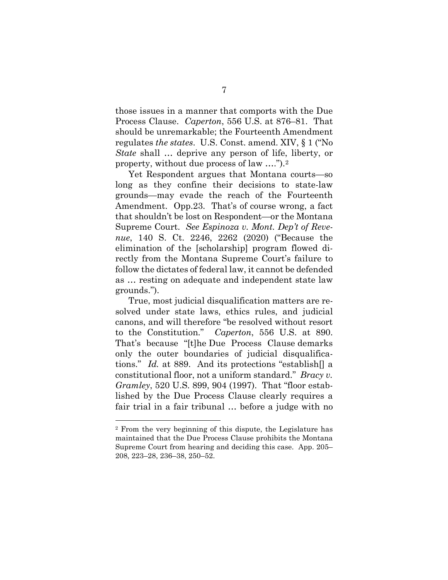those issues in a manner that comports with the Due Process Clause. *Caperton*, 556 U.S. at 876–81. That should be unremarkable; the Fourteenth Amendment regulates *the states*. U.S. Const. amend. XIV, § 1 ("No *State* shall … deprive any person of life, liberty, or property, without due process of law ….").[2](#page-12-0) 

Yet Respondent argues that Montana courts—so long as they confine their decisions to state-law grounds—may evade the reach of the Fourteenth Amendment. Opp.23. That's of course wrong, a fact that shouldn't be lost on Respondent—or the Montana Supreme Court. *See Espinoza v. Mont. Dep't of Revenue*, 140 S. Ct. 2246, 2262 (2020) ("Because the elimination of the [scholarship] program flowed directly from the Montana Supreme Court's failure to follow the dictates of federal law, it cannot be defended as … resting on adequate and independent state law grounds.").

True, most judicial disqualification matters are resolved under state laws, ethics rules, and judicial canons, and will therefore "be resolved without resort to the Constitution." *Caperton*, 556 U.S. at 890. That's because "[t]he Due Process Clause demarks only the outer boundaries of judicial disqualifications." *Id.* at 889. And its protections "establish[] a constitutional floor, not a uniform standard." *Bracy v. Gramley*, 520 U.S. 899, 904 (1997). That "floor established by the Due Process Clause clearly requires a fair trial in a fair tribunal … before a judge with no

<span id="page-12-0"></span><sup>2</sup> From the very beginning of this dispute, the Legislature has maintained that the Due Process Clause prohibits the Montana Supreme Court from hearing and deciding this case. App. 205– 208, 223–28, 236–38, 250–52.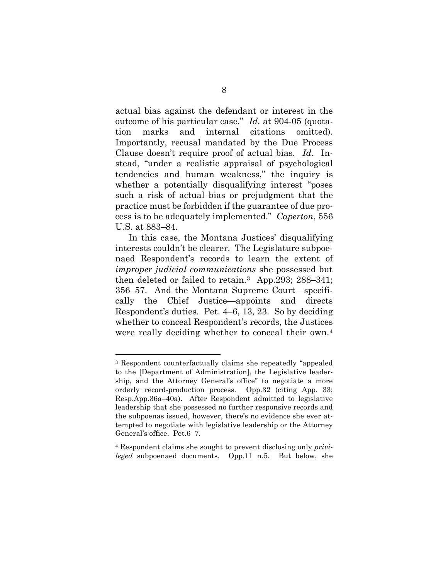actual bias against the defendant or interest in the outcome of his particular case." *Id.* at 904-05 (quotation marks and internal citations omitted). Importantly, recusal mandated by the Due Process Clause doesn't require proof of actual bias. *Id.* Instead, "under a realistic appraisal of psychological tendencies and human weakness," the inquiry is whether a potentially disqualifying interest "poses such a risk of actual bias or prejudgment that the practice must be forbidden if the guarantee of due process is to be adequately implemented." *Caperton*, 556 U.S. at 883–84.

In this case, the Montana Justices' disqualifying interests couldn't be clearer. The Legislature subpoenaed Respondent's records to learn the extent of *improper judicial communications* she possessed but then deleted or failed to retain.[3](#page-13-0) App.293; 288–341; 356–57. And the Montana Supreme Court—specifically the Chief Justice—appoints and directs Respondent's duties. Pet. 4–6, 13, 23. So by deciding whether to conceal Respondent's records, the Justices were really deciding whether to conceal their own.[4](#page-13-1)

<span id="page-13-0"></span><sup>3</sup> Respondent counterfactually claims she repeatedly "appealed to the [Department of Administration], the Legislative leadership, and the Attorney General's office" to negotiate a more orderly record-production process. Opp.32 (citing App. 33; Resp.App.36a–40a). After Respondent admitted to legislative leadership that she possessed no further responsive records and the subpoenas issued, however, there's no evidence she ever attempted to negotiate with legislative leadership or the Attorney General's office. Pet.6–7.

<span id="page-13-1"></span><sup>4</sup> Respondent claims she sought to prevent disclosing only *privileged* subpoenaed documents. Opp.11 n.5. But below, she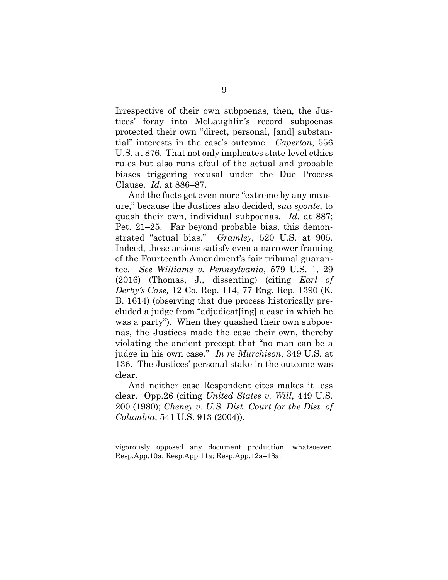Irrespective of their own subpoenas, then, the Justices' foray into McLaughlin's record subpoenas protected their own "direct, personal, [and] substantial" interests in the case's outcome. *Caperton*, 556 U.S. at 876. That not only implicates state-level ethics rules but also runs afoul of the actual and probable biases triggering recusal under the Due Process Clause. *Id.* at 886–87.

And the facts get even more "extreme by any measure," because the Justices also decided, *sua sponte*, to quash their own, individual subpoenas. *Id.* at 887; Pet. 21–25. Far beyond probable bias, this demonstrated "actual bias." *Gramley*, 520 U.S. at 905. Indeed, these actions satisfy even a narrower framing of the Fourteenth Amendment's fair tribunal guarantee. *See Williams v. Pennsylvania*, 579 U.S. 1, 29 (2016) (Thomas, J., dissenting) (citing *Earl of Derby's Case,* 12 Co. Rep. 114, 77 Eng. Rep. 1390 (K. B. 1614) (observing that due process historically precluded a judge from "adjudicat[ing] a case in which he was a party"). When they quashed their own subpoenas, the Justices made the case their own, thereby violating the ancient precept that "no man can be a judge in his own case." *In re Murchison*, 349 U.S. at 136. The Justices' personal stake in the outcome was clear.

And neither case Respondent cites makes it less clear. Opp.26 (citing *United States v. Will*, 449 U.S. 200 (1980); *Cheney v. U.S. Dist. Court for the Dist. of Columbia*, 541 U.S. 913 (2004)).

vigorously opposed any document production, whatsoever. Resp.App.10a; Resp.App.11a; Resp.App.12a–18a.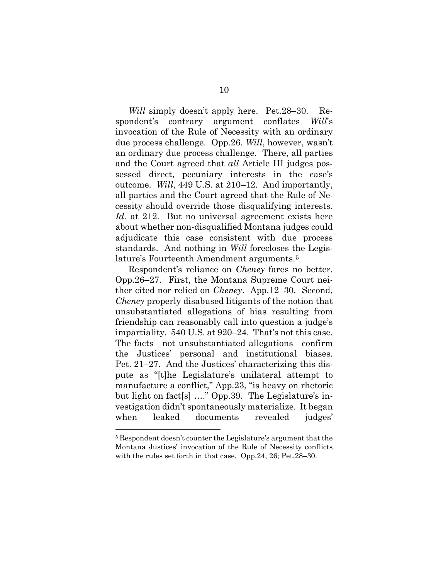*Will* simply doesn't apply here. Pet.28–30. Respondent's contrary argument conflates *Will*'s invocation of the Rule of Necessity with an ordinary due process challenge. Opp.26. *Will*, however, wasn't an ordinary due process challenge. There, all parties and the Court agreed that *all* Article III judges possessed direct, pecuniary interests in the case's outcome. *Will*, 449 U.S. at 210–12. And importantly, all parties and the Court agreed that the Rule of Necessity should override those disqualifying interests. *Id.* at 212. But no universal agreement exists here about whether non-disqualified Montana judges could adjudicate this case consistent with due process standards. And nothing in *Will* forecloses the Legislature's Fourteenth Amendment arguments.[5](#page-15-0) 

Respondent's reliance on *Cheney* fares no better. Opp.26–27. First, the Montana Supreme Court neither cited nor relied on *Cheney*. App.12–30. Second, *Cheney* properly disabused litigants of the notion that unsubstantiated allegations of bias resulting from friendship can reasonably call into question a judge's impartiality. 540 U.S. at 920–24. That's not this case. The facts—not unsubstantiated allegations—confirm the Justices' personal and institutional biases. Pet. 21–27. And the Justices' characterizing this dispute as "[t]he Legislature's unilateral attempt to manufacture a conflict," App.23, "is heavy on rhetoric but light on fact[s] …." Opp.39. The Legislature's investigation didn't spontaneously materialize. It began when leaked documents revealed judges'

<span id="page-15-0"></span><sup>5</sup> Respondent doesn't counter the Legislature's argument that the Montana Justices' invocation of the Rule of Necessity conflicts with the rules set forth in that case. Opp.24, 26; Pet.28–30.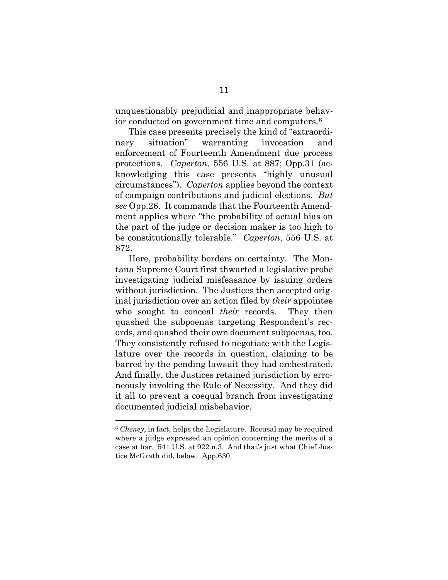unquestionably prejudicial and inappropriate behavior conducted on government time and computers.[6](#page-16-0)

This case presents precisely the kind of "extraordinary situation" warranting invocation and enforcement of Fourteenth Amendment due process protections. *Caperton*, 556 U.S. at 887; Opp.31 (acknowledging this case presents "highly unusual circumstances"). *Caperton* applies beyond the context of campaign contributions and judicial elections. *But see* Opp.26. It commands that the Fourteenth Amendment applies where "the probability of actual bias on the part of the judge or decision maker is too high to be constitutionally tolerable." *Caperton*, 556 U.S. at 872.

Here, probability borders on certainty. The Montana Supreme Court first thwarted a legislative probe investigating judicial misfeasance by issuing orders without jurisdiction. The Justices then accepted original jurisdiction over an action filed by *their* appointee who sought to conceal *their* records. They then quashed the subpoenas targeting Respondent's records, and quashed their own document subpoenas, too. They consistently refused to negotiate with the Legislature over the records in question, claiming to be barred by the pending lawsuit they had orchestrated. And finally, the Justices retained jurisdiction by erroneously invoking the Rule of Necessity. And they did it all to prevent a coequal branch from investigating documented judicial misbehavior.

<span id="page-16-0"></span><sup>6</sup> *Cheney*, in fact, helps the Legislature. Recusal may be required where a judge expressed an opinion concerning the merits of a case at bar. 541 U.S. at 922 n.3. And that's just what Chief Justice McGrath did, below. App.630.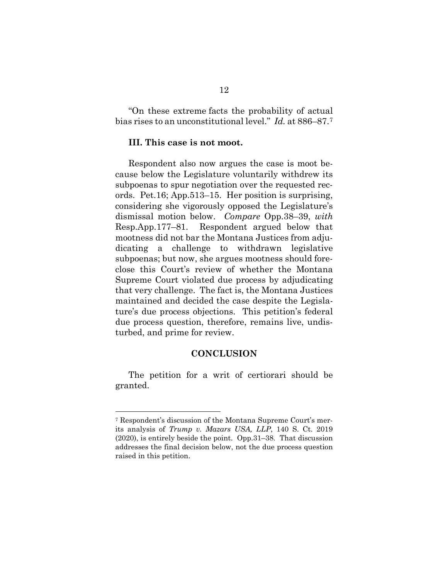"On these extreme facts the probability of actual bias rises to an unconstitutional level." *Id.* at 886–87.[7](#page-17-0)

### **III. This case is not moot.**

Respondent also now argues the case is moot because below the Legislature voluntarily withdrew its subpoenas to spur negotiation over the requested records. Pet.16; App.513–15. Her position is surprising, considering she vigorously opposed the Legislature's dismissal motion below. *Compare* Opp.38–39, *with* Resp.App.177–81. Respondent argued below that mootness did not bar the Montana Justices from adjudicating a challenge to withdrawn legislative subpoenas; but now, she argues mootness should foreclose this Court's review of whether the Montana Supreme Court violated due process by adjudicating that very challenge. The fact is, the Montana Justices maintained and decided the case despite the Legislature's due process objections. This petition's federal due process question, therefore, remains live, undisturbed, and prime for review.

#### **CONCLUSION**

The petition for a writ of certiorari should be granted.

<span id="page-17-0"></span><sup>7</sup> Respondent's discussion of the Montana Supreme Court's merits analysis of *Trump v. Mazars USA, LLP*, 140 S. Ct. 2019 (2020), is entirely beside the point. Opp.31–38. That discussion addresses the final decision below, not the due process question raised in this petition.